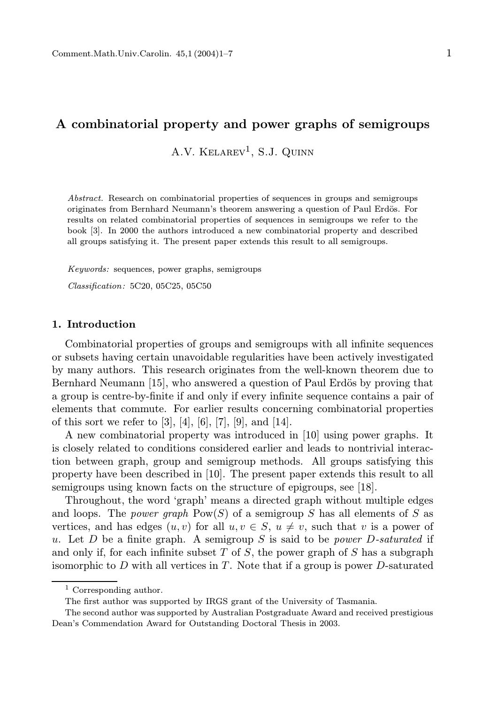# A combinatorial property and power graphs of semigroups

 $A.V.$  KELAREV<sup>1</sup>, S.J. QUINN

Abstract. Research on combinatorial properties of sequences in groups and semigroups originates from Bernhard Neumann's theorem answering a question of Paul Erdös. For results on related combinatorial properties of sequences in semigroups we refer to the book [3]. In 2000 the authors introduced a new combinatorial property and described all groups satisfying it. The present paper extends this result to all semigroups.

Keywords: sequences, power graphs, semigroups Classification: 5C20, 05C25, 05C50

### 1. Introduction

Combinatorial properties of groups and semigroups with all infinite sequences or subsets having certain unavoidable regularities have been actively investigated by many authors. This research originates from the well-known theorem due to Bernhard Neumann [15], who answered a question of Paul Erdös by proving that a group is centre-by-finite if and only if every infinite sequence contains a pair of elements that commute. For earlier results concerning combinatorial properties of this sort we refer to  $[3]$ ,  $[4]$ ,  $[6]$ ,  $[7]$ ,  $[9]$ , and  $[14]$ .

A new combinatorial property was introduced in [10] using power graphs. It is closely related to conditions considered earlier and leads to nontrivial interaction between graph, group and semigroup methods. All groups satisfying this property have been described in [10]. The present paper extends this result to all semigroups using known facts on the structure of epigroups, see [18].

Throughout, the word 'graph' means a directed graph without multiple edges and loops. The *power graph*  $Pow(S)$  of a semigroup S has all elements of S as vertices, and has edges  $(u, v)$  for all  $u, v \in S$ ,  $u \neq v$ , such that v is a power of u. Let D be a finite graph. A semigroup S is said to be *power D-saturated* if and only if, for each infinite subset  $T$  of  $S$ , the power graph of  $S$  has a subgraph isomorphic to  $D$  with all vertices in  $T$ . Note that if a group is power  $D$ -saturated

<sup>1</sup> Corresponding author.

The first author was supported by IRGS grant of the University of Tasmania.

The second author was supported by Australian Postgraduate Award and received prestigious Dean's Commendation Award for Outstanding Doctoral Thesis in 2003.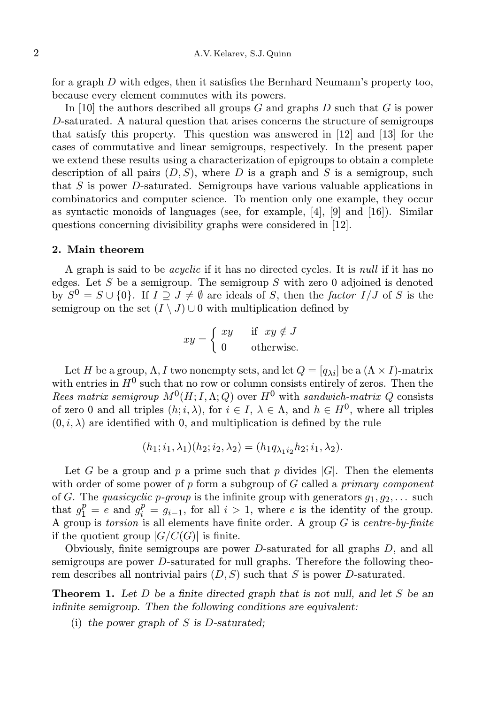for a graph D with edges, then it satisfies the Bernhard Neumann's property too, because every element commutes with its powers.

In [10] the authors described all groups  $G$  and graphs  $D$  such that  $G$  is power D-saturated. A natural question that arises concerns the structure of semigroups that satisfy this property. This question was answered in [12] and [13] for the cases of commutative and linear semigroups, respectively. In the present paper we extend these results using a characterization of epigroups to obtain a complete description of all pairs  $(D, S)$ , where D is a graph and S is a semigroup, such that S is power D-saturated. Semigroups have various valuable applications in combinatorics and computer science. To mention only one example, they occur as syntactic monoids of languages (see, for example, [4], [9] and [16]). Similar questions concerning divisibility graphs were considered in [12].

#### 2. Main theorem

A graph is said to be acyclic if it has no directed cycles. It is null if it has no edges. Let S be a semigroup. The semigroup S with zero 0 adjoined is denoted by  $S^0 = S \cup \{0\}$ . If  $I \supseteq J \neq \emptyset$  are ideals of S, then the factor  $I/J$  of S is the semigroup on the set  $(I \setminus J) \cup 0$  with multiplication defined by

$$
xy = \begin{cases} xy & \text{if } xy \notin J \\ 0 & \text{otherwise.} \end{cases}
$$

Let H be a group,  $\Lambda$ , I two nonempty sets, and let  $Q = [q_{\lambda i}]$  be a  $(\Lambda \times I)$ -matrix with entries in  $H^0$  such that no row or column consists entirely of zeros. Then the Rees matrix semigroup  $M^0(H; I, \Lambda; Q)$  over  $H^0$  with sandwich-matrix Q consists of zero 0 and all triples  $(h, i, \lambda)$ , for  $i \in I$ ,  $\lambda \in \Lambda$ , and  $h \in H^0$ , where all triples  $(0, i, \lambda)$  are identified with 0, and multiplication is defined by the rule

$$
(h_1; i_1, \lambda_1)(h_2; i_2, \lambda_2) = (h_1 q_{\lambda_1 i_2} h_2; i_1, \lambda_2).
$$

Let G be a group and p a prime such that p divides  $|G|$ . Then the elements with order of some power of p form a subgroup of  $G$  called a primary component of G. The quasicyclic p-group is the infinite group with generators  $g_1, g_2, \ldots$  such that  $g_1^p = e$  and  $g_i^p = g_{i-1}$ , for all  $i > 1$ , where e is the identity of the group. A group is torsion is all elements have finite order. A group  $G$  is centre-by-finite if the quotient group  $|G/C(G)|$  is finite.

Obviously, finite semigroups are power D-saturated for all graphs D, and all semigroups are power D-saturated for null graphs. Therefore the following theorem describes all nontrivial pairs  $(D, S)$  such that S is power D-saturated.

**Theorem 1.** Let D be a finite directed graph that is not null, and let S be an infinite semigroup. Then the following conditions are equivalent:

(i) the power graph of  $S$  is  $D$ -saturated;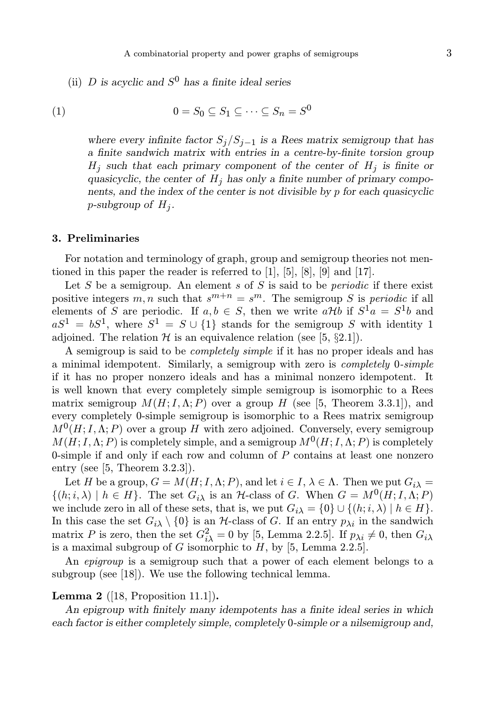(ii) D is acyclic and  $S^0$  has a finite ideal series

$$
(1) \qquad \qquad 0 = S_0 \subseteq S_1 \subseteq \cdots \subseteq S_n = S^0
$$

where every infinite factor  $S_j/S_{j-1}$  is a Rees matrix semigroup that has a finite sandwich matrix with entries in a centre-by-finite torsion group  $H_j$  such that each primary component of the center of  $H_j$  is finite or quasicyclic, the center of  $H_i$  has only a finite number of primary components, and the index of the center is not divisible by p for each quasicyclic p-subgroup of  $H_j$ .

#### 3. Preliminaries

For notation and terminology of graph, group and semigroup theories not mentioned in this paper the reader is referred to [1], [5], [8], [9] and [17].

Let S be a semigroup. An element s of S is said to be *periodic* if there exist positive integers m, n such that  $s^{m+n} = s^m$ . The semigroup S is periodic if all elements of S are periodic. If  $a, b \in S$ , then we write  $a \mathcal{H} b$  if  $S^1 a = S^1 b$  and  $aS^1 = bS^1$ , where  $S^1 = S \cup \{1\}$  stands for the semigroup S with identity 1 adjoined. The relation  $H$  is an equivalence relation (see [5, §2.1]).

A semigroup is said to be completely simple if it has no proper ideals and has a minimal idempotent. Similarly, a semigroup with zero is completely 0-simple if it has no proper nonzero ideals and has a minimal nonzero idempotent. It is well known that every completely simple semigroup is isomorphic to a Rees matrix semigroup  $M(H; I, \Lambda; P)$  over a group H (see [5, Theorem 3.3.1]), and every completely 0-simple semigroup is isomorphic to a Rees matrix semigroup  $M<sup>0</sup>(H; I, \Lambda; P)$  over a group H with zero adjoined. Conversely, every semigroup  $M(H; I, \Lambda; P)$  is completely simple, and a semigroup  $M^0(H; I, \Lambda; P)$  is completely 0-simple if and only if each row and column of  $P$  contains at least one nonzero entry (see [5, Theorem 3.2.3]).

Let H be a group,  $G = M(H; I, \Lambda; P)$ , and let  $i \in I, \lambda \in \Lambda$ . Then we put  $G_{i\lambda} =$  $\{(h, i, \lambda) \mid h \in H\}$ . The set  $G_{i\lambda}$  is an H-class of G. When  $G = M^0(H, I, \Lambda; P)$ we include zero in all of these sets, that is, we put  $G_{i\lambda} = \{0\} \cup \{(h; i, \lambda) \mid h \in H\}.$ In this case the set  $G_i$  \ {0} is an H-class of G. If an entry  $p_{\lambda i}$  in the sandwich matrix P is zero, then the set  $G_{i\lambda}^2 = 0$  by [5, Lemma 2.2.5]. If  $p_{\lambda i} \neq 0$ , then  $G_{i\lambda}$ is a maximal subgroup of G isomorphic to  $H$ , by [5, Lemma 2.2.5].

An *epigroup* is a semigroup such that a power of each element belongs to a subgroup (see [18]). We use the following technical lemma.

## **Lemma 2** ([18, Proposition 11.1]).

An epigroup with finitely many idempotents has a finite ideal series in which each factor is either completely simple, completely 0-simple or a nilsemigroup and,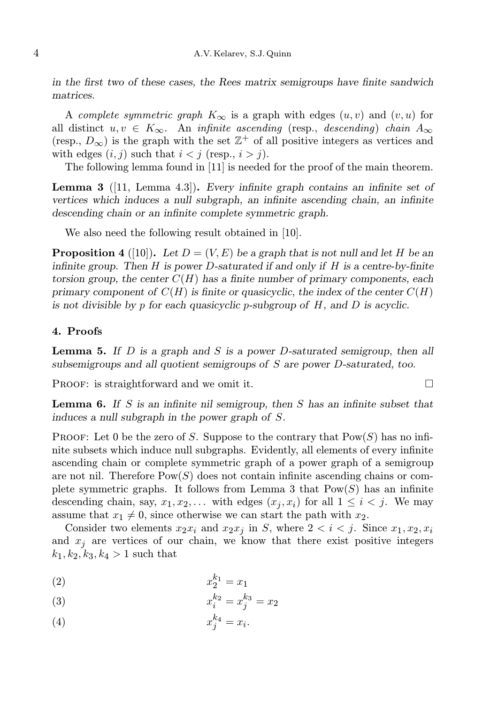in the first two of these cases, the Rees matrix semigroups have finite sandwich matrices.

A complete symmetric graph  $K_{\infty}$  is a graph with edges  $(u, v)$  and  $(v, u)$  for all distinct  $u, v \in K_{\infty}$ . An *infinite ascending* (resp., *descending*) *chain*  $A_{\infty}$ (resp.,  $D_{\infty}$ ) is the graph with the set  $\mathbb{Z}^{+}$  of all positive integers as vertices and with edges  $(i, j)$  such that  $i < j$  (resp.,  $i > j$ ).

The following lemma found in [11] is needed for the proof of the main theorem.

Lemma 3 ([11, Lemma 4.3]). Every infinite graph contains an infinite set of vertices which induces a null subgraph, an infinite ascending chain, an infinite descending chain or an infinite complete symmetric graph.

We also need the following result obtained in [10].

**Proposition 4** ([10]). Let  $D = (V, E)$  be a graph that is not null and let H be an infinite group. Then  $H$  is power  $D$ -saturated if and only if  $H$  is a centre-by-finite torsion group, the center  $C(H)$  has a finite number of primary components, each primary component of  $C(H)$  is finite or quasicyclic, the index of the center  $C(H)$ is not divisible by p for each quasicyclic p-subgroup of  $H$ , and  $D$  is acyclic.

## 4. Proofs

**Lemma 5.** If  $D$  is a graph and  $S$  is a power  $D$ -saturated semigroup, then all subsemigroups and all quotient semigroups of S are power D-saturated, too.

PROOF: is straightforward and we omit it.  $\square$ 

**Lemma 6.** If S is an infinite nil semigroup, then S has an infinite subset that induces a null subgraph in the power graph of S.

**PROOF:** Let 0 be the zero of S. Suppose to the contrary that  $\text{Pow}(S)$  has no infinite subsets which induce null subgraphs. Evidently, all elements of every infinite ascending chain or complete symmetric graph of a power graph of a semigroup are not nil. Therefore  $Pow(S)$  does not contain infinite ascending chains or complete symmetric graphs. It follows from Lemma 3 that  $Pow(S)$  has an infinite descending chain, say,  $x_1, x_2, \ldots$  with edges  $(x_j, x_i)$  for all  $1 \leq i < j$ . We may assume that  $x_1 \neq 0$ , since otherwise we can start the path with  $x_2$ .

Consider two elements  $x_2x_i$  and  $x_2x_j$  in S, where  $2 < i < j$ . Since  $x_1, x_2, x_i$ and  $x_j$  are vertices of our chain, we know that there exist positive integers  $k_1, k_2, k_3, k_4 > 1$  such that

$$
x_2^{k_1} = x_1
$$

(3) 
$$
x_i^{k_2} = x_j^{k_3} = x_2
$$

$$
(4) \t\t x_j^{k_4} = x_i.
$$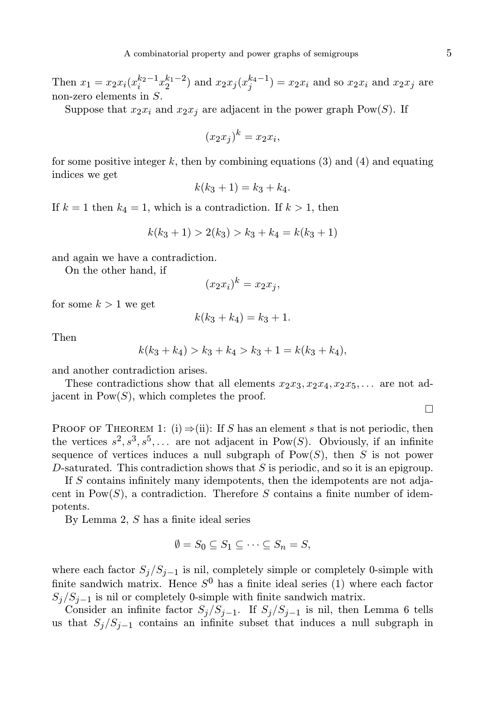Then  $x_1 = x_2 x_i (x_i^{k_2-1} x_2^{k_1-2})$  and  $x_2 x_j (x_j^{k_4-1}) = x_2 x_i$  and so  $x_2 x_i$  and  $x_2 x_j$  are non-zero elements in S.

Suppose that  $x_2x_i$  and  $x_2x_j$  are adjacent in the power graph Pow(S). If

$$
(x_2x_j)^k = x_2x_i,
$$

for some positive integer k, then by combining equations  $(3)$  and  $(4)$  and equating indices we get

$$
k(k_3 + 1) = k_3 + k_4.
$$

If  $k = 1$  then  $k_4 = 1$ , which is a contradiction. If  $k > 1$ , then

$$
k(k_3 + 1) > 2(k_3) > k_3 + k_4 = k(k_3 + 1)
$$

and again we have a contradiction.

On the other hand, if

$$
(x_2x_i)^k = x_2x_j,
$$

for some  $k > 1$  we get

$$
k(k_3 + k_4) = k_3 + 1.
$$

Then

$$
k(k_3 + k_4) > k_3 + k_4 > k_3 + 1 = k(k_3 + k_4),
$$

and another contradiction arises.

These contradictions show that all elements  $x_2x_3, x_2x_4, x_2x_5, \ldots$  are not adjacent in  $Pow(S)$ , which completes the proof.

PROOF OF THEOREM 1: (i)  $\Rightarrow$  (ii): If S has an element s that is not periodic, then the vertices  $s^2, s^3, s^5, \ldots$  are not adjacent in Pow(S). Obviously, if an infinite sequence of vertices induces a null subgraph of  $Pow(S)$ , then S is not power D-saturated. This contradiction shows that  $S$  is periodic, and so it is an epigroup.

If S contains infinitely many idempotents, then the idempotents are not adjacent in  $\text{Pow}(S)$ , a contradiction. Therefore S contains a finite number of idempotents.

By Lemma 2, S has a finite ideal series

$$
\emptyset = S_0 \subseteq S_1 \subseteq \cdots \subseteq S_n = S,
$$

where each factor  $S_j/S_{j-1}$  is nil, completely simple or completely 0-simple with finite sandwich matrix. Hence  $S^0$  has a finite ideal series (1) where each factor  $S_j/S_{j-1}$  is nil or completely 0-simple with finite sandwich matrix.

Consider an infinite factor  $S_j/S_{j-1}$ . If  $S_j/S_{j-1}$  is nil, then Lemma 6 tells us that  $S_j/S_{j-1}$  contains an infinite subset that induces a null subgraph in

 $\Box$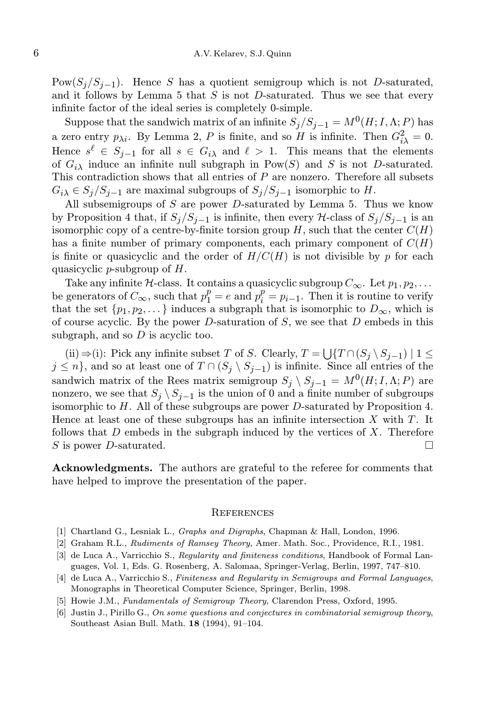Pow $(S_i/S_{i-1})$ . Hence S has a quotient semigroup which is not D-saturated, and it follows by Lemma 5 that  $S$  is not D-saturated. Thus we see that every infinite factor of the ideal series is completely 0-simple.

Suppose that the sandwich matrix of an infinite  $S_j/S_{j-1} = M^0(H; I, \Lambda; P)$  has a zero entry  $p_{\lambda i}$ . By Lemma 2, P is finite, and so H is infinite. Then  $G_{i\lambda}^2 = 0$ . Hence  $s^{\ell} \in S_{j-1}$  for all  $s \in G_{i\lambda}$  and  $\ell > 1$ . This means that the elements of  $G_{i\lambda}$  induce an infinite null subgraph in Pow(S) and S is not D-saturated. This contradiction shows that all entries of  $P$  are nonzero. Therefore all subsets  $G_i \in S_j/S_{j-1}$  are maximal subgroups of  $S_j/S_{j-1}$  isomorphic to H.

All subsemigroups of  $S$  are power D-saturated by Lemma 5. Thus we know by Proposition 4 that, if  $S_j/S_{j-1}$  is infinite, then every H-class of  $S_j/S_{j-1}$  is an isomorphic copy of a centre-by-finite torsion group  $H$ , such that the center  $C(H)$ has a finite number of primary components, each primary component of  $C(H)$ is finite or quasicyclic and the order of  $H/C(H)$  is not divisible by p for each quasicyclic *p*-subgroup of  $H$ .

Take any infinite H-class. It contains a quasicyclic subgroup  $C_{\infty}$ . Let  $p_1, p_2, \ldots$ be generators of  $C_{\infty}$ , such that  $p_1^p = e$  and  $p_i^p = p_{i-1}$ . Then it is routine to verify that the set  $\{p_1, p_2, \dots\}$  induces a subgraph that is isomorphic to  $D_{\infty}$ , which is of course acyclic. By the power  $D$ -saturation of  $S$ , we see that  $D$  embeds in this subgraph, and so  $D$  is acyclic too.

(ii)  $\Rightarrow$  (i): Pick any infinite subset T of S. Clearly,  $T = \bigcup \{T \cap (S_j \setminus S_{j-1}) \mid 1 \leq$  $j \leq n$ , and so at least one of  $T \cap (S_j \setminus S_{j-1})$  is infinite. Since all entries of the sandwich matrix of the Rees matrix semigroup  $S_j \setminus S_{j-1} = M^0(H; I, \Lambda; P)$  are nonzero, we see that  $S_j \setminus S_{j-1}$  is the union of 0 and a finite number of subgroups isomorphic to  $H$ . All of these subgroups are power  $D$ -saturated by Proposition 4. Hence at least one of these subgroups has an infinite intersection  $X$  with  $T$ . It follows that  $D$  embeds in the subgraph induced by the vertices of  $X$ . Therefore S is power D-saturated.

Acknowledgments. The authors are grateful to the referee for comments that have helped to improve the presentation of the paper.

#### **REFERENCES**

- [1] Chartland G., Lesniak L., Graphs and Digraphs, Chapman & Hall, London, 1996.
- [2] Graham R.L., Rudiments of Ramsey Theory, Amer. Math. Soc., Providence, R.I., 1981.
- [3] de Luca A., Varricchio S., Regularity and finiteness conditions, Handbook of Formal Languages, Vol. 1, Eds. G. Rosenberg, A. Salomaa, Springer-Verlag, Berlin, 1997, 747–810.
- [4] de Luca A., Varricchio S., Finiteness and Regularity in Semigroups and Formal Languages, Monographs in Theoretical Computer Science, Springer, Berlin, 1998.
- [5] Howie J.M., Fundamentals of Semigroup Theory, Clarendon Press, Oxford, 1995.
- [6] Justin J., Pirillo G., On some questions and conjectures in combinatorial semigroup theory, Southeast Asian Bull. Math. 18 (1994), 91–104.